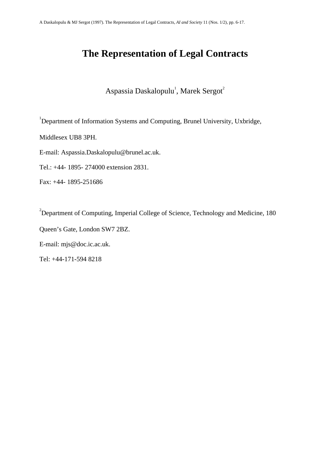# **The Representation of Legal Contracts**

Aspassia Daskalopulu<sup>1</sup>, Marek Sergot<sup>2</sup>

<sup>1</sup>Department of Information Systems and Computing, Brunel University, Uxbridge,

Middlesex UB8 3PH.

E-mail: Aspassia.Daskalopulu@brunel.ac.uk.

Tel.: +44- 1895- 274000 extension 2831.

Fax: +44- 1895-251686

<sup>2</sup>Department of Computing, Imperial College of Science, Technology and Medicine, 180

Queen's Gate, London SW7 2BZ.

E-mail: mjs@doc.ic.ac.uk.

Tel: +44-171-594 8218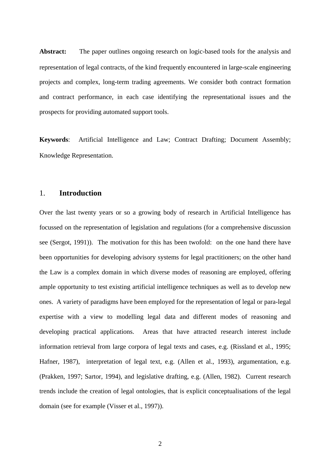Abstract: The paper outlines ongoing research on logic-based tools for the analysis and representation of legal contracts, of the kind frequently encountered in large-scale engineering projects and complex, long-term trading agreements. We consider both contract formation and contract performance, in each case identifying the representational issues and the prospects for providing automated support tools.

**Keywords**: Artificial Intelligence and Law; Contract Drafting; Document Assembly; Knowledge Representation.

#### 1. **Introduction**

Over the last twenty years or so a growing body of research in Artificial Intelligence has focussed on the representation of legislation and regulations (for a comprehensive discussion see (Sergot, 1991)). The motivation for this has been twofold: on the one hand there have been opportunities for developing advisory systems for legal practitioners; on the other hand the Law is a complex domain in which diverse modes of reasoning are employed, offering ample opportunity to test existing artificial intelligence techniques as well as to develop new ones. A variety of paradigms have been employed for the representation of legal or para-legal expertise with a view to modelling legal data and different modes of reasoning and developing practical applications. Areas that have attracted research interest include information retrieval from large corpora of legal texts and cases, e.g. (Rissland et al., 1995; Hafner, 1987), interpretation of legal text, e.g. (Allen et al., 1993), argumentation, e.g. (Prakken, 1997; Sartor, 1994), and legislative drafting, e.g. (Allen, 1982). Current research trends include the creation of legal ontologies, that is explicit conceptualisations of the legal domain (see for example (Visser et al., 1997)).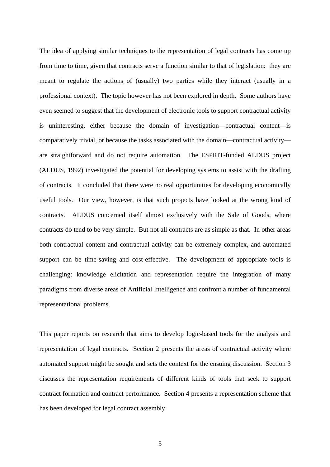The idea of applying similar techniques to the representation of legal contracts has come up from time to time, given that contracts serve a function similar to that of legislation: they are meant to regulate the actions of (usually) two parties while they interact (usually in a professional context). The topic however has not been explored in depth. Some authors have even seemed to suggest that the development of electronic tools to support contractual activity is uninteresting, either because the domain of investigation—contractual content—is comparatively trivial, or because the tasks associated with the domain—contractual activity are straightforward and do not require automation. The ESPRIT-funded ALDUS project (ALDUS, 1992) investigated the potential for developing systems to assist with the drafting of contracts. It concluded that there were no real opportunities for developing economically useful tools. Our view, however, is that such projects have looked at the wrong kind of contracts. ALDUS concerned itself almost exclusively with the Sale of Goods, where contracts do tend to be very simple. But not all contracts are as simple as that. In other areas both contractual content and contractual activity can be extremely complex, and automated support can be time-saving and cost-effective. The development of appropriate tools is challenging: knowledge elicitation and representation require the integration of many paradigms from diverse areas of Artificial Intelligence and confront a number of fundamental representational problems.

This paper reports on research that aims to develop logic-based tools for the analysis and representation of legal contracts. Section 2 presents the areas of contractual activity where automated support might be sought and sets the context for the ensuing discussion. Section 3 discusses the representation requirements of different kinds of tools that seek to support contract formation and contract performance. Section 4 presents a representation scheme that has been developed for legal contract assembly.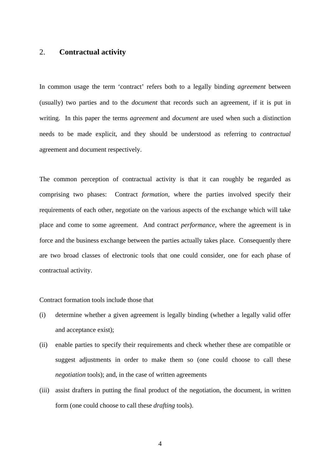## 2. **Contractual activity**

In common usage the term 'contract' refers both to a legally binding *agreement* between (usually) two parties and to the *document* that records such an agreement, if it is put in writing. In this paper the terms *agreement* and *document* are used when such a distinction needs to be made explicit, and they should be understood as referring to *contractual* agreement and document respectively.

The common perception of contractual activity is that it can roughly be regarded as comprising two phases: Contract *formation*, where the parties involved specify their requirements of each other, negotiate on the various aspects of the exchange which will take place and come to some agreement. And contract *performance*, where the agreement is in force and the business exchange between the parties actually takes place. Consequently there are two broad classes of electronic tools that one could consider, one for each phase of contractual activity.

Contract formation tools include those that

- (i) determine whether a given agreement is legally binding (whether a legally valid offer and acceptance exist);
- (ii) enable parties to specify their requirements and check whether these are compatible or suggest adjustments in order to make them so (one could choose to call these *negotiation* tools); and, in the case of written agreements
- (iii) assist drafters in putting the final product of the negotiation, the document, in written form (one could choose to call these *drafting* tools).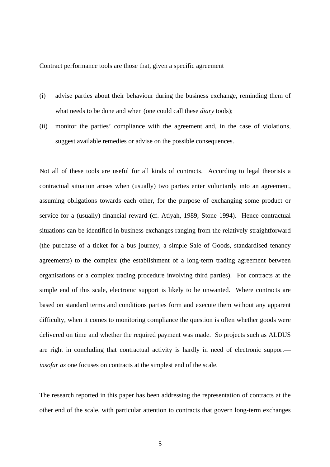Contract performance tools are those that, given a specific agreement

- (i) advise parties about their behaviour during the business exchange, reminding them of what needs to be done and when (one could call these *diary* tools);
- (ii) monitor the parties' compliance with the agreement and, in the case of violations, suggest available remedies or advise on the possible consequences.

Not all of these tools are useful for all kinds of contracts. According to legal theorists a contractual situation arises when (usually) two parties enter voluntarily into an agreement, assuming obligations towards each other, for the purpose of exchanging some product or service for a (usually) financial reward (cf. Atiyah, 1989; Stone 1994). Hence contractual situations can be identified in business exchanges ranging from the relatively straightforward (the purchase of a ticket for a bus journey, a simple Sale of Goods, standardised tenancy agreements) to the complex (the establishment of a long-term trading agreement between organisations or a complex trading procedure involving third parties). For contracts at the simple end of this scale, electronic support is likely to be unwanted. Where contracts are based on standard terms and conditions parties form and execute them without any apparent difficulty, when it comes to monitoring compliance the question is often whether goods were delivered on time and whether the required payment was made. So projects such as ALDUS are right in concluding that contractual activity is hardly in need of electronic support *insofar as* one focuses on contracts at the simplest end of the scale.

The research reported in this paper has been addressing the representation of contracts at the other end of the scale, with particular attention to contracts that govern long-term exchanges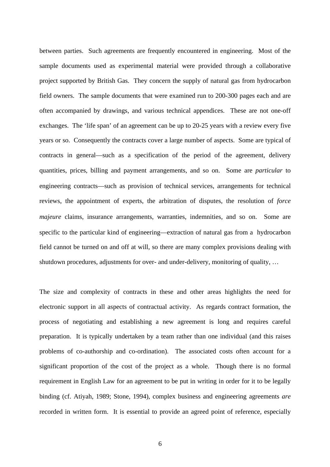between parties. Such agreements are frequently encountered in engineering. Most of the sample documents used as experimental material were provided through a collaborative project supported by British Gas. They concern the supply of natural gas from hydrocarbon field owners. The sample documents that were examined run to 200-300 pages each and are often accompanied by drawings, and various technical appendices. These are not one-off exchanges. The 'life span' of an agreement can be up to 20-25 years with a review every five years or so. Consequently the contracts cover a large number of aspects. Some are typical of contracts in general—such as a specification of the period of the agreement, delivery quantities, prices, billing and payment arrangements, and so on. Some are *particular* to engineering contracts—such as provision of technical services, arrangements for technical reviews, the appointment of experts, the arbitration of disputes, the resolution of *force majeure* claims, insurance arrangements, warranties, indemnities, and so on. Some are specific to the particular kind of engineering—extraction of natural gas from a hydrocarbon field cannot be turned on and off at will, so there are many complex provisions dealing with shutdown procedures, adjustments for over- and under-delivery, monitoring of quality, …

The size and complexity of contracts in these and other areas highlights the need for electronic support in all aspects of contractual activity. As regards contract formation, the process of negotiating and establishing a new agreement is long and requires careful preparation. It is typically undertaken by a team rather than one individual (and this raises problems of co-authorship and co-ordination). The associated costs often account for a significant proportion of the cost of the project as a whole. Though there is no formal requirement in English Law for an agreement to be put in writing in order for it to be legally binding (cf. Atiyah, 1989; Stone, 1994), complex business and engineering agreements *are* recorded in written form. It is essential to provide an agreed point of reference, especially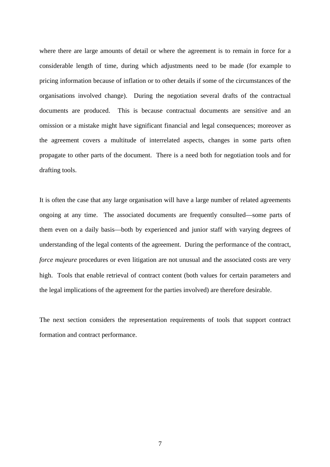where there are large amounts of detail or where the agreement is to remain in force for a considerable length of time, during which adjustments need to be made (for example to pricing information because of inflation or to other details if some of the circumstances of the organisations involved change). During the negotiation several drafts of the contractual documents are produced. This is because contractual documents are sensitive and an omission or a mistake might have significant financial and legal consequences; moreover as the agreement covers a multitude of interrelated aspects, changes in some parts often propagate to other parts of the document. There is a need both for negotiation tools and for drafting tools.

It is often the case that any large organisation will have a large number of related agreements ongoing at any time. The associated documents are frequently consulted—some parts of them even on a daily basis—both by experienced and junior staff with varying degrees of understanding of the legal contents of the agreement. During the performance of the contract, *force majeure* procedures or even litigation are not unusual and the associated costs are very high. Tools that enable retrieval of contract content (both values for certain parameters and the legal implications of the agreement for the parties involved) are therefore desirable.

The next section considers the representation requirements of tools that support contract formation and contract performance.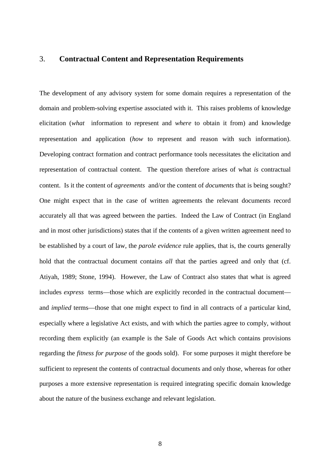## 3. **Contractual Content and Representation Requirements**

The development of any advisory system for some domain requires a representation of the domain and problem-solving expertise associated with it. This raises problems of knowledge elicitation (*what* information to represent and *where* to obtain it from) and knowledge representation and application (*how* to represent and reason with such information). Developing contract formation and contract performance tools necessitates the elicitation and representation of contractual content. The question therefore arises of what *is* contractual content. Is it the content of *agreements* and/or the content of *documents* that is being sought? One might expect that in the case of written agreements the relevant documents record accurately all that was agreed between the parties. Indeed the Law of Contract (in England and in most other jurisdictions) states that if the contents of a given written agreement need to be established by a court of law, the *parole evidence* rule applies, that is, the courts generally hold that the contractual document contains *all* that the parties agreed and only that (cf. Atiyah, 1989; Stone, 1994). However, the Law of Contract also states that what is agreed includes *express* terms—those which are explicitly recorded in the contractual document and *implied* terms—those that one might expect to find in all contracts of a particular kind, especially where a legislative Act exists, and with which the parties agree to comply, without recording them explicitly (an example is the Sale of Goods Act which contains provisions regarding the *fitness for purpose* of the goods sold). For some purposes it might therefore be sufficient to represent the contents of contractual documents and only those, whereas for other purposes a more extensive representation is required integrating specific domain knowledge about the nature of the business exchange and relevant legislation.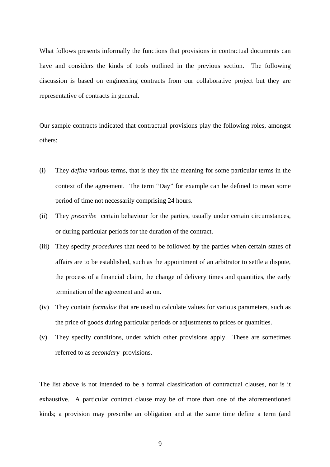What follows presents informally the functions that provisions in contractual documents can have and considers the kinds of tools outlined in the previous section. The following discussion is based on engineering contracts from our collaborative project but they are representative of contracts in general.

Our sample contracts indicated that contractual provisions play the following roles, amongst others:

- (i) They *define* various terms, that is they fix the meaning for some particular terms in the context of the agreement. The term "Day" for example can be defined to mean some period of time not necessarily comprising 24 hours.
- (ii) They *prescribe* certain behaviour for the parties, usually under certain circumstances, or during particular periods for the duration of the contract.
- (iii) They specify *procedures* that need to be followed by the parties when certain states of affairs are to be established, such as the appointment of an arbitrator to settle a dispute, the process of a financial claim, the change of delivery times and quantities, the early termination of the agreement and so on.
- (iv) They contain *formulae* that are used to calculate values for various parameters, such as the price of goods during particular periods or adjustments to prices or quantities.
- (v) They specify conditions, under which other provisions apply. These are sometimes referred to as *secondary* provisions.

The list above is not intended to be a formal classification of contractual clauses, nor is it exhaustive. A particular contract clause may be of more than one of the aforementioned kinds; a provision may prescribe an obligation and at the same time define a term (and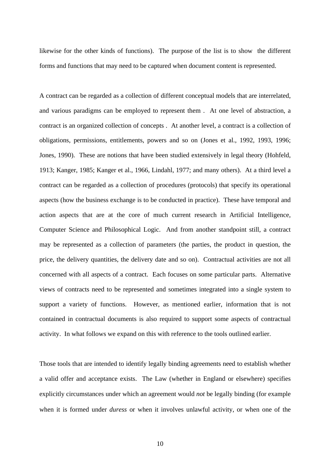likewise for the other kinds of functions). The purpose of the list is to show the different forms and functions that may need to be captured when document content is represented.

A contract can be regarded as a collection of different conceptual models that are interrelated, and various paradigms can be employed to represent them . At one level of abstraction, a contract is an organized collection of concepts . At another level, a contract is a collection of obligations, permissions, entitlements, powers and so on (Jones et al., 1992, 1993, 1996; Jones, 1990). These are notions that have been studied extensively in legal theory (Hohfeld, 1913; Kanger, 1985; Kanger et al., 1966, Lindahl, 1977; and many others). At a third level a contract can be regarded as a collection of procedures (protocols) that specify its operational aspects (how the business exchange is to be conducted in practice). These have temporal and action aspects that are at the core of much current research in Artificial Intelligence, Computer Science and Philosophical Logic. And from another standpoint still, a contract may be represented as a collection of parameters (the parties, the product in question, the price, the delivery quantities, the delivery date and so on). Contractual activities are not all concerned with all aspects of a contract. Each focuses on some particular parts. Alternative views of contracts need to be represented and sometimes integrated into a single system to support a variety of functions. However, as mentioned earlier, information that is not contained in contractual documents is also required to support some aspects of contractual activity. In what follows we expand on this with reference to the tools outlined earlier.

Those tools that are intended to identify legally binding agreements need to establish whether a valid offer and acceptance exists. The Law (whether in England or elsewhere) specifies explicitly circumstances under which an agreement would *not* be legally binding (for example when it is formed under *duress* or when it involves unlawful activity, or when one of the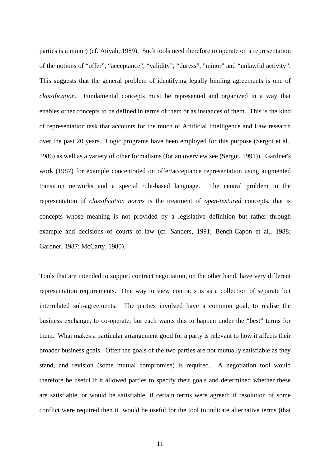parties is a minor) (cf. Atiyah, 1989). Such tools need therefore to operate on a representation of the notions of "offer", "acceptance", "validity", "duress", "minor" and "unlawful activity". This suggests that the general problem of identifying legally binding agreements is one of *classification*. Fundamental concepts must be represented and organized in a way that enables other concepts to be defined in terms of them or as instances of them. This is the kind of representation task that accounts for the much of Artificial Intelligence and Law research over the past 20 years. Logic programs have been employed for this purpose (Sergot et al., 1986) as well as a variety of other formalisms (for an overview see (Sergot, 1991)). Gardner's work (1987) for example concentrated on offer/acceptance representation using augmented transition networks and a special rule-based language. The central problem in the representation of *classification norms* is the treatment of *open-textured* concepts, that is concepts whose meaning is not provided by a legislative definition but rather through example and decisions of courts of law (cf. Sanders, 1991; Bench-Capon et al., 1988; Gardner, 1987; McCarty, 1980).

Tools that are intended to support contract negotiation, on the other hand, have very different representation requirements. One way to view contracts is as a collection of separate but interrelated sub-agreements. The parties involved have a common goal, to realise the business exchange, to co-operate, but each wants this to happen under the "best" terms for them. What makes a particular arrangement good for a party is relevant to how it affects their broader business goals. Often the goals of the two parties are not mutually satisfiable as they stand, and revision (some mutual compromise) is required. A negotiation tool would therefore be useful if it allowed parties to specify their goals and determined whether these are satisfiable, or would be satisfiable, if certain terms were agreed; if resolution of some conflict were required then it would be useful for the tool to indicate alternative terms (that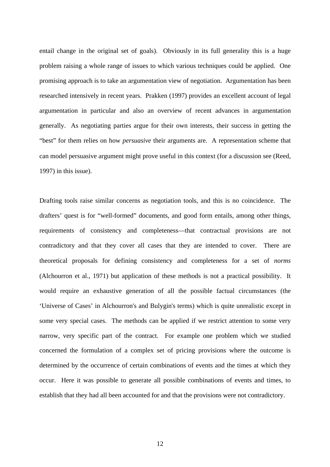entail change in the original set of goals). Obviously in its full generality this is a huge problem raising a whole range of issues to which various techniques could be applied. One promising approach is to take an argumentation view of negotiation. Argumentation has been researched intensively in recent years. Prakken (1997) provides an excellent account of legal argumentation in particular and also an overview of recent advances in argumentation generally. As negotiating parties argue for their own interests, their success in getting the "best" for them relies on how *persuasive* their arguments are. A representation scheme that can model persuasive argument might prove useful in this context (for a discussion see (Reed, 1997) in this issue).

Drafting tools raise similar concerns as negotiation tools, and this is no coincidence. The drafters' quest is for "well-formed" documents, and good form entails, among other things, requirements of consistency and completeness—that contractual provisions are not contradictory and that they cover all cases that they are intended to cover. There are theoretical proposals for defining consistency and completeness for a set of *norms* (Alchourron et al., 1971) but application of these methods is not a practical possibility. It would require an exhaustive generation of all the possible factual circumstances (the 'Universe of Cases' in Alchourron's and Bulygin's terms) which is quite unrealistic except in some very special cases. The methods can be applied if we restrict attention to some very narrow, very specific part of the contract. For example one problem which we studied concerned the formulation of a complex set of pricing provisions where the outcome is determined by the occurrence of certain combinations of events and the times at which they occur. Here it was possible to generate all possible combinations of events and times, to establish that they had all been accounted for and that the provisions were not contradictory.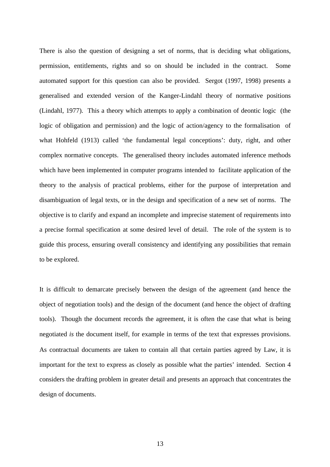There is also the question of designing a set of norms, that is deciding what obligations, permission, entitlements, rights and so on should be included in the contract. Some automated support for this question can also be provided. Sergot (1997, 1998) presents a generalised and extended version of the Kanger-Lindahl theory of normative positions (Lindahl, 1977). This a theory which attempts to apply a combination of deontic logic (the logic of obligation and permission) and the logic of action/agency to the formalisation of what Hohfeld (1913) called 'the fundamental legal conceptions': duty, right, and other complex normative concepts. The generalised theory includes automated inference methods which have been implemented in computer programs intended to facilitate application of the theory to the analysis of practical problems, either for the purpose of interpretation and disambiguation of legal texts, or in the design and specification of a new set of norms. The objective is to clarify and expand an incomplete and imprecise statement of requirements into a precise formal specification at some desired level of detail. The role of the system is to guide this process, ensuring overall consistency and identifying any possibilities that remain to be explored.

It is difficult to demarcate precisely between the design of the agreement (and hence the object of negotiation tools) and the design of the document (and hence the object of drafting tools). Though the document records the agreement, it is often the case that what is being negotiated *is* the document itself, for example in terms of the text that expresses provisions. As contractual documents are taken to contain all that certain parties agreed by Law, it is important for the text to express as closely as possible what the parties' intended. Section 4 considers the drafting problem in greater detail and presents an approach that concentrates the design of documents.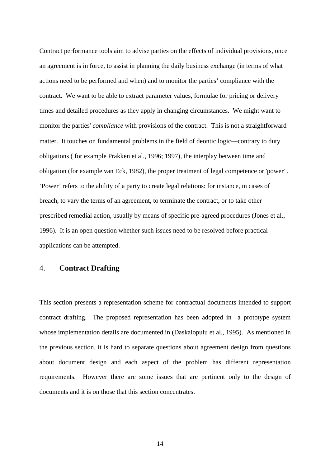Contract performance tools aim to advise parties on the effects of individual provisions, once an agreement is in force, to assist in planning the daily business exchange (in terms of what actions need to be performed and when) and to monitor the parties' compliance with the contract. We want to be able to extract parameter values, formulae for pricing or delivery times and detailed procedures as they apply in changing circumstances. We might want to monitor the parties' *compliance* with provisions of the contract. This is not a straightforward matter. It touches on fundamental problems in the field of deontic logic—contrary to duty obligations ( for example Prakken et al., 1996; 1997), the interplay between time and obligation (for example van Eck, 1982), the proper treatment of legal competence or 'power' . 'Power' refers to the ability of a party to create legal relations: for instance, in cases of breach, to vary the terms of an agreement, to terminate the contract, or to take other prescribed remedial action, usually by means of specific pre-agreed procedures (Jones et al., 1996). It is an open question whether such issues need to be resolved before practical applications can be attempted.

## 4. **Contract Drafting**

This section presents a representation scheme for contractual documents intended to support contract drafting. The proposed representation has been adopted in a prototype system whose implementation details are documented in (Daskalopulu et al., 1995). As mentioned in the previous section, it is hard to separate questions about agreement design from questions about document design and each aspect of the problem has different representation requirements. However there are some issues that are pertinent only to the design of documents and it is on those that this section concentrates.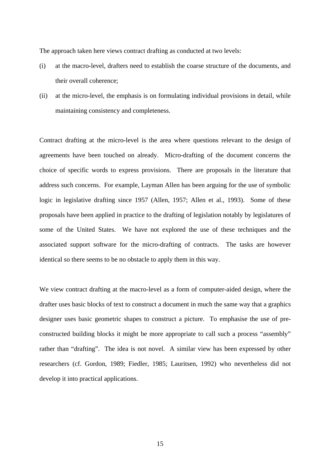The approach taken here views contract drafting as conducted at two levels:

- (i) at the macro-level, drafters need to establish the coarse structure of the documents, and their overall coherence;
- (ii) at the micro-level, the emphasis is on formulating individual provisions in detail, while maintaining consistency and completeness.

Contract drafting at the micro-level is the area where questions relevant to the design of agreements have been touched on already. Micro-drafting of the document concerns the choice of specific words to express provisions. There are proposals in the literature that address such concerns. For example, Layman Allen has been arguing for the use of symbolic logic in legislative drafting since 1957 (Allen, 1957; Allen et al., 1993). Some of these proposals have been applied in practice to the drafting of legislation notably by legislatures of some of the United States. We have not explored the use of these techniques and the associated support software for the micro-drafting of contracts. The tasks are however identical so there seems to be no obstacle to apply them in this way.

We view contract drafting at the macro-level as a form of computer-aided design, where the drafter uses basic blocks of text to construct a document in much the same way that a graphics designer uses basic geometric shapes to construct a picture. To emphasise the use of preconstructed building blocks it might be more appropriate to call such a process "assembly" rather than "drafting". The idea is not novel. A similar view has been expressed by other researchers (cf. Gordon, 1989; Fiedler, 1985; Lauritsen, 1992) who nevertheless did not develop it into practical applications.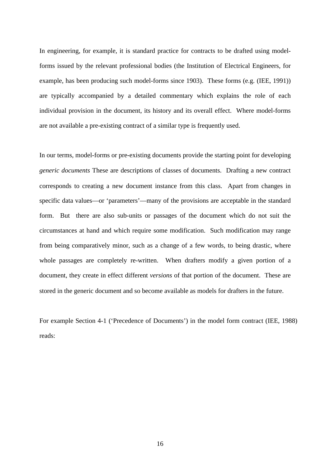In engineering, for example, it is standard practice for contracts to be drafted using modelforms issued by the relevant professional bodies (the Institution of Electrical Engineers, for example, has been producing such model-forms since 1903). These forms (e.g. (IEE, 1991)) are typically accompanied by a detailed commentary which explains the role of each individual provision in the document, its history and its overall effect. Where model-forms are not available a pre-existing contract of a similar type is frequently used.

In our terms, model-forms or pre-existing documents provide the starting point for developing *generic documents* These are descriptions of classes of documents. Drafting a new contract corresponds to creating a new document instance from this class. Apart from changes in specific data values—or 'parameters'—many of the provisions are acceptable in the standard form. But there are also sub-units or passages of the document which do not suit the circumstances at hand and which require some modification. Such modification may range from being comparatively minor, such as a change of a few words, to being drastic, where whole passages are completely re-written. When drafters modify a given portion of a document, they create in effect different *versions* of that portion of the document. These are stored in the generic document and so become available as models for drafters in the future.

For example Section 4-1 ('Precedence of Documents') in the model form contract (IEE, 1988) reads: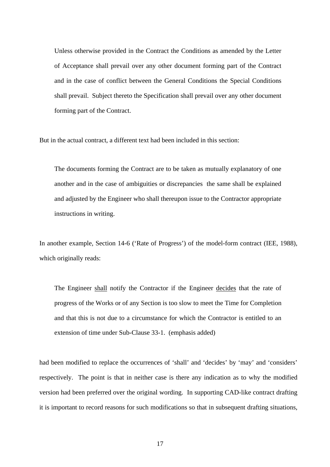Unless otherwise provided in the Contract the Conditions as amended by the Letter of Acceptance shall prevail over any other document forming part of the Contract and in the case of conflict between the General Conditions the Special Conditions shall prevail. Subject thereto the Specification shall prevail over any other document forming part of the Contract.

But in the actual contract, a different text had been included in this section:

The documents forming the Contract are to be taken as mutually explanatory of one another and in the case of ambiguities or discrepancies the same shall be explained and adjusted by the Engineer who shall thereupon issue to the Contractor appropriate instructions in writing.

In another example, Section 14-6 ('Rate of Progress') of the model-form contract (IEE, 1988), which originally reads:

The Engineer shall notify the Contractor if the Engineer decides that the rate of progress of the Works or of any Section is too slow to meet the Time for Completion and that this is not due to a circumstance for which the Contractor is entitled to an extension of time under Sub-Clause 33-1. (emphasis added)

had been modified to replace the occurrences of 'shall' and 'decides' by 'may' and 'considers' respectively. The point is that in neither case is there any indication as to why the modified version had been preferred over the original wording. In supporting CAD-like contract drafting it is important to record reasons for such modifications so that in subsequent drafting situations,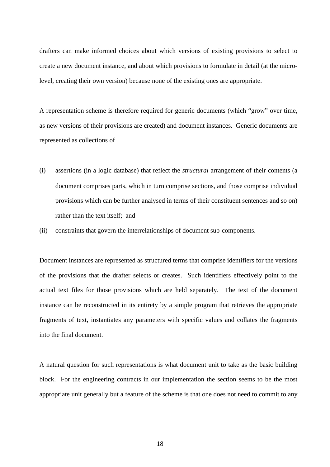drafters can make informed choices about which versions of existing provisions to select to create a new document instance, and about which provisions to formulate in detail (at the microlevel, creating their own version) because none of the existing ones are appropriate.

A representation scheme is therefore required for generic documents (which "grow" over time, as new versions of their provisions are created) and document instances. Generic documents are represented as collections of

- (i) assertions (in a logic database) that reflect the *structural* arrangement of their contents (a document comprises parts, which in turn comprise sections, and those comprise individual provisions which can be further analysed in terms of their constituent sentences and so on) rather than the text itself; and
- (ii) constraints that govern the interrelationships of document sub-components.

Document instances are represented as structured terms that comprise identifiers for the versions of the provisions that the drafter selects or creates. Such identifiers effectively point to the actual text files for those provisions which are held separately. The text of the document instance can be reconstructed in its entirety by a simple program that retrieves the appropriate fragments of text, instantiates any parameters with specific values and collates the fragments into the final document.

A natural question for such representations is what document unit to take as the basic building block. For the engineering contracts in our implementation the section seems to be the most appropriate unit generally but a feature of the scheme is that one does not need to commit to any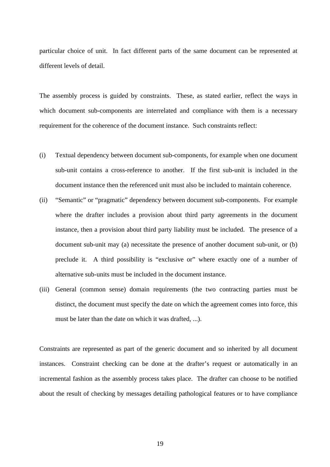particular choice of unit. In fact different parts of the same document can be represented at different levels of detail.

The assembly process is guided by constraints. These, as stated earlier, reflect the ways in which document sub-components are interrelated and compliance with them is a necessary requirement for the coherence of the document instance. Such constraints reflect:

- (i) Textual dependency between document sub-components, for example when one document sub-unit contains a cross-reference to another. If the first sub-unit is included in the document instance then the referenced unit must also be included to maintain coherence.
- (ii) "Semantic" or "pragmatic" dependency between document sub-components. For example where the drafter includes a provision about third party agreements in the document instance, then a provision about third party liability must be included. The presence of a document sub-unit may (a) necessitate the presence of another document sub-unit, or (b) preclude it. A third possibility is "exclusive or" where exactly one of a number of alternative sub-units must be included in the document instance.
- (iii) General (common sense) domain requirements (the two contracting parties must be distinct, the document must specify the date on which the agreement comes into force, this must be later than the date on which it was drafted, ...).

Constraints are represented as part of the generic document and so inherited by all document instances. Constraint checking can be done at the drafter's request or automatically in an incremental fashion as the assembly process takes place. The drafter can choose to be notified about the result of checking by messages detailing pathological features or to have compliance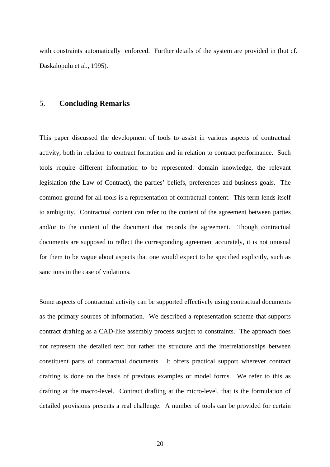with constraints automatically enforced. Further details of the system are provided in (but cf. Daskalopulu et al., 1995).

## 5. **Concluding Remarks**

This paper discussed the development of tools to assist in various aspects of contractual activity, both in relation to contract formation and in relation to contract performance. Such tools require different information to be represented: domain knowledge, the relevant legislation (the Law of Contract), the parties' beliefs, preferences and business goals. The common ground for all tools is a representation of contractual content. This term lends itself to ambiguity. Contractual content can refer to the content of the agreement between parties and/or to the content of the document that records the agreement. Though contractual documents are supposed to reflect the corresponding agreement accurately, it is not unusual for them to be vague about aspects that one would expect to be specified explicitly, such as sanctions in the case of violations.

Some aspects of contractual activity can be supported effectively using contractual documents as the primary sources of information. We described a representation scheme that supports contract drafting as a CAD-like assembly process subject to constraints. The approach does not represent the detailed text but rather the structure and the interrelationships between constituent parts of contractual documents. It offers practical support wherever contract drafting is done on the basis of previous examples or model forms. We refer to this as drafting at the macro-level. Contract drafting at the micro-level, that is the formulation of detailed provisions presents a real challenge. A number of tools can be provided for certain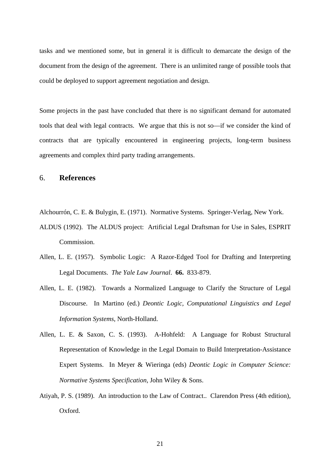tasks and we mentioned some, but in general it is difficult to demarcate the design of the document from the design of the agreement. There is an unlimited range of possible tools that could be deployed to support agreement negotiation and design.

Some projects in the past have concluded that there is no significant demand for automated tools that deal with legal contracts. We argue that this is not so—if we consider the kind of contracts that are typically encountered in engineering projects, long-term business agreements and complex third party trading arrangements.

#### 6. **References**

Alchourrón, C. E. & Bulygin, E. (1971). Normative Systems. Springer-Verlag, New York.

- ALDUS (1992). The ALDUS project: Artificial Legal Draftsman for Use in Sales, ESPRIT Commission.
- Allen, L. E. (1957). Symbolic Logic: A Razor-Edged Tool for Drafting and Interpreting Legal Documents. *The Yale Law Journal*. **66.** 833-879.
- Allen, L. E. (1982). Towards a Normalized Language to Clarify the Structure of Legal Discourse. In Martino (ed.) *Deontic Logic, Computational Linguistics and Legal Information Systems*, North-Holland.
- Allen, L. E. & Saxon, C. S. (1993). A-Hohfeld: A Language for Robust Structural Representation of Knowledge in the Legal Domain to Build Interpretation-Assistance Expert Systems. In Meyer & Wieringa (eds) *Deontic Logic in Computer Science: Normative Systems Specification*, John Wiley & Sons.
- Atiyah, P. S. (1989). An introduction to the Law of Contract.. Clarendon Press (4th edition), Oxford.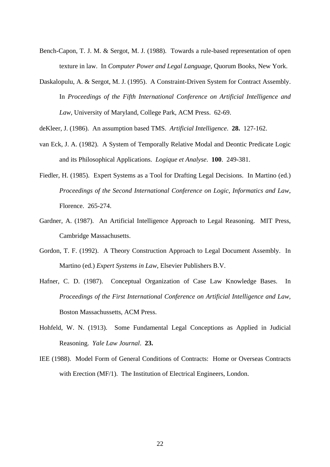- Bench-Capon, T. J. M. & Sergot, M. J. (1988). Towards a rule-based representation of open texture in law. In *Computer Power and Legal Language*, Quorum Books, New York.
- Daskalopulu, A. & Sergot, M. J. (1995). A Constraint-Driven System for Contract Assembly. In *Proceedings of the Fifth International Conference on Artificial Intelligence and Law*, University of Maryland, College Park, ACM Press. 62-69.

deKleer, J. (1986). An assumption based TMS. *Artificial Intelligence*. **28.** 127-162.

- van Eck, J. A. (1982). A System of Temporally Relative Modal and Deontic Predicate Logic and its Philosophical Applications. *Logique et Analyse*. **100**. 249-381.
- Fiedler, H. (1985). Expert Systems as a Tool for Drafting Legal Decisions. In Martino (ed.) *Proceedings of the Second International Conference on Logic, Informatics and Law*, Florence. 265-274.
- Gardner, A. (1987). An Artificial Intelligence Approach to Legal Reasoning. MIT Press, Cambridge Massachusetts.
- Gordon, T. F. (1992). A Theory Construction Approach to Legal Document Assembly. In Martino (ed.) *Expert Systems in Law*, Elsevier Publishers B.V.
- Hafner, C. D. (1987). Conceptual Organization of Case Law Knowledge Bases. In *Proceedings of the First International Conference on Artificial Intelligence and Law,* Boston Massachussetts*,* ACM Press.
- Hohfeld, W. N. (1913). Some Fundamental Legal Conceptions as Applied in Judicial Reasoning. *Yale Law Journal*. **23.**
- IEE (1988). Model Form of General Conditions of Contracts: Home or Overseas Contracts with Erection (MF/1). The Institution of Electrical Engineers, London.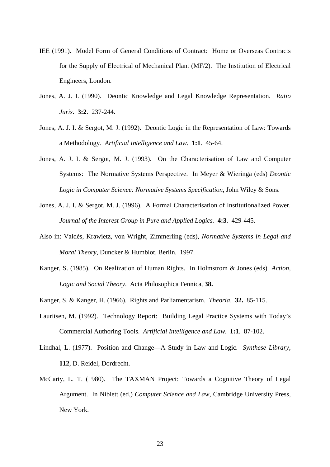- IEE (1991). Model Form of General Conditions of Contract: Home or Overseas Contracts for the Supply of Electrical of Mechanical Plant (MF/2). The Institution of Electrical Engineers, London.
- Jones, A. J. I. (1990). Deontic Knowledge and Legal Knowledge Representation. *Ratio Juris*. **3:2**. 237-244.
- Jones, A. J. I. & Sergot, M. J. (1992). Deontic Logic in the Representation of Law: Towards a Methodology. *Artificial Intelligence and Law*. **1:1**. 45-64.
- Jones, A. J. I. & Sergot, M. J. (1993). On the Characterisation of Law and Computer Systems: The Normative Systems Perspective. In Meyer & Wieringa (eds) *Deontic Logic in Computer Science: Normative Systems Specification*, John Wiley & Sons.
- Jones, A. J. I. & Sergot, M. J. (1996). A Formal Characterisation of Institutionalized Power. *Journal of the Interest Group in Pure and Applied Logics.* **4:3**. 429-445.
- Also in: Valdés, Krawietz, von Wright, Zimmerling (eds), *Normative Systems in Legal and Moral Theory*, Duncker & Humblot, Berlin. 1997.
- Kanger, S. (1985). On Realization of Human Rights. In Holmstrom & Jones (eds) *Action, Logic and Social Theory*. Acta Philosophica Fennica, **38.**
- Kanger, S. & Kanger, H. (1966). Rights and Parliamentarism. *Theoria*. **32.** 85-115.
- Lauritsen, M. (1992). Technology Report: Building Legal Practice Systems with Today's Commercial Authoring Tools. *Artificial Intelligence and Law*. **1:1**. 87-102.
- Lindhal, L. (1977). Position and Change—A Study in Law and Logic. *Synthese Library*, **112**, D. Reidel, Dordrecht.
- McCarty, L. T. (1980). The TAXMAN Project: Towards a Cognitive Theory of Legal Argument. In Niblett (ed.) *Computer Science and Law*, Cambridge University Press, New York.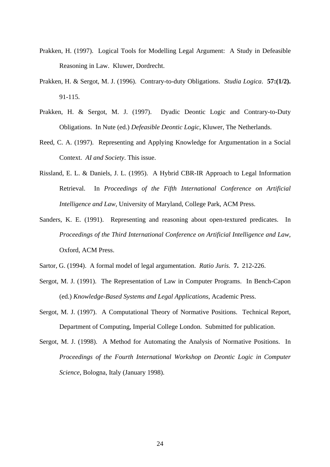- Prakken, H. (1997). Logical Tools for Modelling Legal Argument: A Study in Defeasible Reasoning in Law. Kluwer, Dordrecht.
- Prakken, H. & Sergot, M. J. (1996). Contrary-to-duty Obligations. *Studia Logica*. **57:(1/2).** 91-115.
- Prakken, H. & Sergot, M. J. (1997). Dyadic Deontic Logic and Contrary-to-Duty Obligations. In Nute (ed.) *Defeasible Deontic Logic*, Kluwer, The Netherlands.
- Reed, C. A. (1997). Representing and Applying Knowledge for Argumentation in a Social Context. *AI and Society*. This issue.
- Rissland, E. L. & Daniels, J. L. (1995). A Hybrid CBR-IR Approach to Legal Information Retrieval. In *Proceedings of the Fifth International Conference on Artificial Intelligence and Law*, University of Maryland, College Park, ACM Press.
- Sanders, K. E. (1991). Representing and reasoning about open-textured predicates. In *Proceedings of the Third International Conference on Artificial Intelligence and Law,* Oxford, ACM Press.
- Sartor, G. (1994). A formal model of legal argumentation. *Ratio Juris.* **7.** 212-226.
- Sergot, M. J. (1991). The Representation of Law in Computer Programs. In Bench-Capon (ed.) *Knowledge-Based Systems and Legal Applications*, Academic Press.
- Sergot, M. J. (1997). A Computational Theory of Normative Positions. Technical Report, Department of Computing, Imperial College London. Submitted for publication.
- Sergot, M. J. (1998). A Method for Automating the Analysis of Normative Positions. In *Proceedings of the Fourth International Workshop on Deontic Logic in Computer Science*, Bologna, Italy (January 1998).